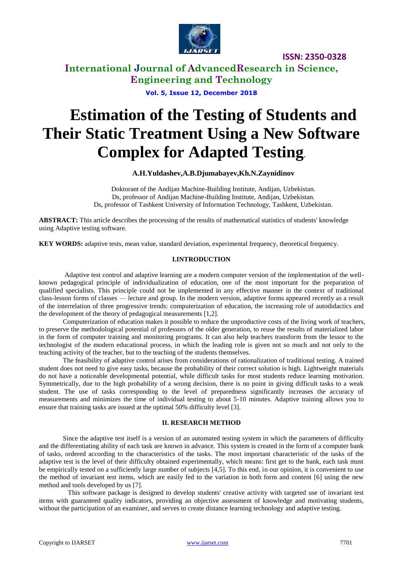

**International Journal of AdvancedResearch in Science, Engineering and Technology**

**Vol. 5, Issue 12, December 2018**

# **Estimation of the Testing of Students and Their Static Treatment Using a New Software Complex for Adapted Testing.**

#### **A.H.Yuldashev,A.B.Djumabayev,Kh.N.Zaynidinov**

Doktorant of the Andijan Machine-Building Institute, Andijan, Uzbekistan. Ds, professor of Andijan Machine-Building Institute, Andijan, Uzbekistan. Ds, professor of Tashkent University of Information Technology, Tashkent, Uzbekistan.

**ABSTRACT:** This article describes the processing of the results of mathematical statistics of students' knowledge using Adaptive testing software.

**KEY WORDS:** adaptive tests, mean value, standard deviation, experimental frequency, theoretical frequency.

#### **I.INTRODUCTION**

Adaptive test control and adaptive learning are a modern computer version of the implementation of the wellknown pedagogical principle of individualization of education, one of the most important for the preparation of qualified specialists. This principle could not be implemented in any effective manner in the context of traditional class-lesson forms of classes — lecture and group. In the modern version, adaptive forms appeared recently as a result of the interrelation of three progressive trends: computerization of education, the increasing role of autodidactics and the development of the theory of pedagogical measurements [1,2].

Computerization of education makes it possible to reduce the unproductive costs of the living work of teachers, to preserve the methodological potential of professors of the older generation, to reuse the results of materialized labor in the form of computer training and monitoring programs. It can also help teachers transform from the lessor to the technologist of the modern educational process, in which the leading role is given not so much and not only to the teaching activity of the teacher, but to the teaching of the students themselves.

The feasibility of adaptive control arises from considerations of rationalization of traditional testing. A trained student does not need to give easy tasks, because the probability of their correct solution is high. Lightweight materials do not have a noticeable developmental potential, while difficult tasks for most students reduce learning motivation. Symmetrically, due to the high probability of a wrong decision, there is no point in giving difficult tasks to a weak student. The use of tasks corresponding to the level of preparedness significantly increases the accuracy of measurements and minimizes the time of individual testing to about 5-10 minutes. Adaptive training allows you to ensure that training tasks are issued at the optimal 50% difficulty level [3].

#### **II. RESEARCH METHOD**

Since the adaptive test itself is a version of an automated testing system in which the parameters of difficulty and the differentiating ability of each task are known in advance. This system is created in the form of a computer bank of tasks, ordered according to the characteristics of the tasks. The most important characteristic of the tasks of the adaptive test is the level of their difficulty obtained experimentally, which means: first get to the bank, each task must be empirically tested on a sufficiently large number of subjects [4,5]. To this end, in our opinion, it is convenient to use the method of invariant test items, which are easily fed to the variation in both form and content [6] using the new method and tools developed by us [7].

This software package is designed to develop students' creative activity with targeted use of invariant test items with guaranteed quality indicators, providing an objective assessment of knowledge and motivating students, without the participation of an examiner, and serves to create distance learning technology and adaptive testing.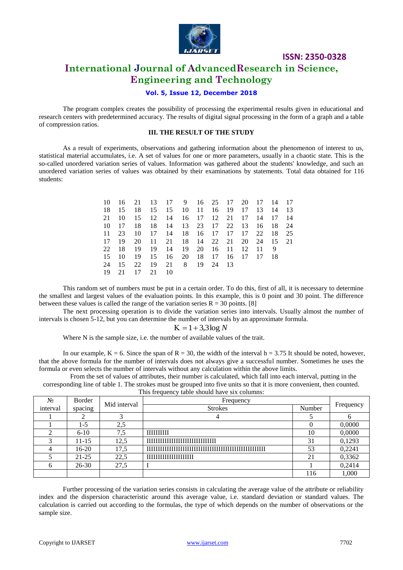

## **International Journal of AdvancedResearch in Science, Engineering and Technology**

#### **Vol. 5, Issue 12, December 2018**

The program complex creates the possibility of processing the experimental results given in educational and research centers with predetermined accuracy. The results of digital signal processing in the form of a graph and a table of compression ratios.

#### **III. THE RESULT OF THE STUDY**

As a result of experiments, observations and gathering information about the phenomenon of interest to us, statistical material accumulates, i.e. A set of values for one or more parameters, usually in a chaotic state. This is the so-called unordered variation series of values. Information was gathered about the students' knowledge, and such an unordered variation series of values was obtained by their examinations by statements. Total data obtained for 116 students:

|       |       |    |    | 10 16 21 13 17 9 16 25 17 20 17 14 17 |  |  |  |     |  |
|-------|-------|----|----|---------------------------------------|--|--|--|-----|--|
| 18    | -15   |    |    | 18 15 15 10 11 16 19 17 13 14 13      |  |  |  |     |  |
| 21    | 10    | 15 |    | 12 14 16 17 12 21 17 14 17 14         |  |  |  |     |  |
| 10    | 17    |    |    | 18 18 14 13 23 17 22 13 16 18 24      |  |  |  |     |  |
| 11    | 23    |    |    | 10 17 14 18 16 17 17 17 22 18 25      |  |  |  |     |  |
| 17    | 19    |    |    | 20 11 21 18 14 22 21 20 24 15 21      |  |  |  |     |  |
| 22 18 |       |    |    | 19 19 14 19 20 16 11 12 11            |  |  |  | - 9 |  |
| 15    | -10   |    |    | 19 15 16 20 18 17 16 17 17 18         |  |  |  |     |  |
|       | 24 15 |    |    | 22 19 21 8 19 24 13                   |  |  |  |     |  |
| 19    | 21    | 17 | 21 | - 10                                  |  |  |  |     |  |

This random set of numbers must be put in a certain order. To do this, first of all, it is necessary to determine the smallest and largest values of the evaluation points. In this example, this is 0 point and 30 point. The difference between these values is called the range of the variation series  $R = 30$  points. [8]

The next processing operation is to divide the variation series into intervals. Usually almost the number of intervals is chosen 5-12, but you can determine the number of intervals by an approximate formula.

#### $K = 1 + 3,3 \log N$

Where N is the sample size, i.e. the number of available values of the trait.

In our example,  $K = 6$ . Since the span of  $R = 30$ , the width of the interval  $h = 3.75$  It should be noted, however, that the above formula for the number of intervals does not always give a successful number. Sometimes he uses the formula or even selects the number of intervals without any calculation within the above limits.

From the set of values of attributes, their number is calculated, which fall into each interval, putting in the corresponding line of table 1. The strokes must be grouped into five units so that it is more convenient, then counted. This frequency table should have six columns:

| This requestly table should have sty columns. |           |              |                                  |           |        |  |  |  |
|-----------------------------------------------|-----------|--------------|----------------------------------|-----------|--------|--|--|--|
| No.                                           | Border    | Mid interval | Frequency                        | Frequency |        |  |  |  |
| interval                                      | spacing   |              | <b>Strokes</b>                   | Number    |        |  |  |  |
|                                               |           |              |                                  |           |        |  |  |  |
|                                               | 1-5       | 2.5          |                                  |           | 0.0000 |  |  |  |
|                                               | $6 - 10$  | 7.5          | <b>THURITH</b>                   | 10        | 0,0000 |  |  |  |
|                                               | 11-15     | 12,5         | TITTITTITTITTITTITTITTITTITTITTI | 31        | 0,1293 |  |  |  |
|                                               | $16-20$   | 17,5         |                                  | 53        | 0,2241 |  |  |  |
|                                               | $21 - 25$ | 22.5         | ,,,,,,,,,,,,,,,,,,,,,,           | 21        | 0,3362 |  |  |  |
| 6                                             | $26-30$   | 27,5         |                                  |           | 0,2414 |  |  |  |
|                                               |           |              |                                  | 116       | 1,000  |  |  |  |

Further processing of the variation series consists in calculating the average value of the attribute or reliability index and the dispersion characteristic around this average value, i.e. standard deviation or standard values. The calculation is carried out according to the formulas, the type of which depends on the number of observations or the sample size.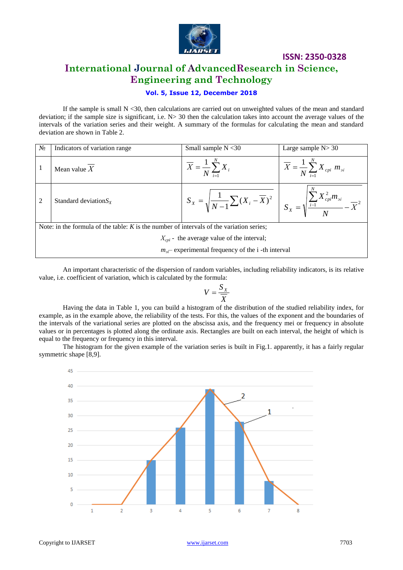

**ISSN: 2350-0328 International Journal of AdvancedResearch in Science, Engineering and Technology**

#### **Vol. 5, Issue 12, December 2018**

If the sample is small  $N < 30$ , then calculations are carried out on unweighted values of the mean and standard deviation; if the sample size is significant, i.e.  $N > 30$  then the calculation takes into account the average values of the intervals of the variation series and their weight. A summary of the formulas for calculating the mean and standard deviation are shown in Table 2.

| N <sub>2</sub>                                                                             | Indicators of variation range | Small sample $N < 30$                                                                                                                                        | Large sample $N > 30$                                      |  |  |  |  |  |
|--------------------------------------------------------------------------------------------|-------------------------------|--------------------------------------------------------------------------------------------------------------------------------------------------------------|------------------------------------------------------------|--|--|--|--|--|
|                                                                                            | Mean value $X$                | $\overline{X} = \frac{1}{N} \sum_{i=1}^{N} X_i$                                                                                                              | $\overline{X} = \frac{1}{N} \sum_{i=1}^{N} X_{cpi} m_{si}$ |  |  |  |  |  |
| $\mathfrak{D}$                                                                             | Standard deviation $S_X$      | $S_X = \sqrt{\frac{1}{N-1}\sum (X_i - \overline{X})^2} \left[ S_X = \sqrt{\frac{\sum_{i=1}^{N} X_{\text{cpi}}^2 m_{\text{si}}}{N} - \overline{X}^2} \right]$ |                                                            |  |  |  |  |  |
| Note: in the formula of the table: $K$ is the number of intervals of the variation series; |                               |                                                                                                                                                              |                                                            |  |  |  |  |  |
| $X_{\text{cpi}}$ - the average value of the interval;                                      |                               |                                                                                                                                                              |                                                            |  |  |  |  |  |
| $m_{\nu}$ experimental frequency of the i-th interval                                      |                               |                                                                                                                                                              |                                                            |  |  |  |  |  |

An important characteristic of the dispersion of random variables, including reliability indicators, is its relative value, i.e. coefficient of variation, which is calculated by the formula:

$$
V = \frac{S_X}{\overline{X}}
$$

 *X* Having the data in Table 1, you can build a histogram of the distribution of the studied reliability index, for example, as in the example above, the reliability of the tests. For this, the values of the exponent and the boundaries of the intervals of the variational series are plotted on the abscissa axis, and the frequency mei or frequency in absolute values or in percentages is plotted along the ordinate axis. Rectangles are built on each interval, the height of which is equal to the frequency or frequency in this interval.

The histogram for the given example of the variation series is built in Fig.1. apparently, it has a fairly regular symmetric shape [8,9].

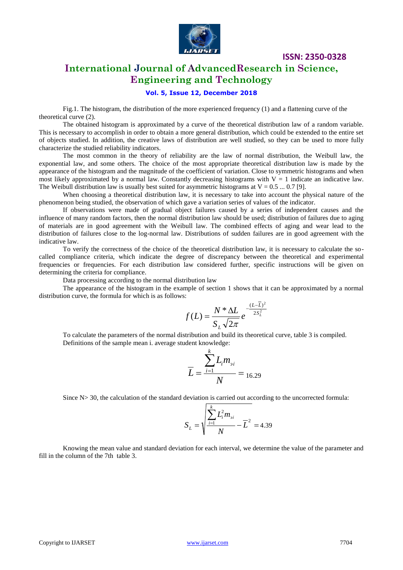

### **International Journal of AdvancedResearch in Science, Engineering and Technology**

#### **Vol. 5, Issue 12, December 2018**

Fig.1. The histogram, the distribution of the more experienced frequency (1) and a flattening curve of the theoretical curve (2).

The obtained histogram is approximated by a curve of the theoretical distribution law of a random variable. This is necessary to accomplish in order to obtain a more general distribution, which could be extended to the entire set of objects studied. In addition, the creative laws of distribution are well studied, so they can be used to more fully characterize the studied reliability indicators.

The most common in the theory of reliability are the law of normal distribution, the Weibull law, the exponential law, and some others. The choice of the most appropriate theoretical distribution law is made by the appearance of the histogram and the magnitude of the coefficient of variation. Close to symmetric histograms and when most likely approximated by a normal law. Constantly decreasing histograms with  $V = 1$  indicate an indicative law. The Weibull distribution law is usually best suited for asymmetric histograms at  $V = 0.5 ... 0.7$  [9].

When choosing a theoretical distribution law, it is necessary to take into account the physical nature of the phenomenon being studied, the observation of which gave a variation series of values of the indicator.

If observations were made of gradual object failures caused by a series of independent causes and the influence of many random factors, then the normal distribution law should be used; distribution of failures due to aging of materials are in good agreement with the Weibull law. The combined effects of aging and wear lead to the distribution of failures close to the log-normal law. Distributions of sudden failures are in good agreement with the indicative law.

To verify the correctness of the choice of the theoretical distribution law, it is necessary to calculate the socalled compliance criteria, which indicate the degree of discrepancy between the theoretical and experimental frequencies or frequencies. For each distribution law considered further, specific instructions will be given on determining the criteria for compliance.

Data processing according to the normal distribution law

The appearance of the histogram in the example of section 1 shows that it can be approximated by a normal distribution curve, the formula for which is as follows:

$$
f(L) = \frac{N \times \Delta L}{S_L \sqrt{2\pi}} e^{-\frac{(L-\overline{L})^2}{2S_L^2}}
$$

To calculate the parameters of the normal distribution and build its theoretical curve, table 3 is compiled. Definitions of the sample mean i. average student knowledge:

$$
\overline{L} = \frac{\sum_{i=1}^{k} L_i m_{si}}{N} = 16.29
$$

Since N> 30, the calculation of the standard deviation is carried out according to the uncorrected formula:

$$
S_L = \sqrt{\frac{\sum_{i=1}^{k} L_i^2 m_{si}}{N} - \overline{L}^2} = 4.39
$$

Knowing the mean value and standard deviation for each interval, we determine the value of the parameter and fill in the column of the 7th table 3.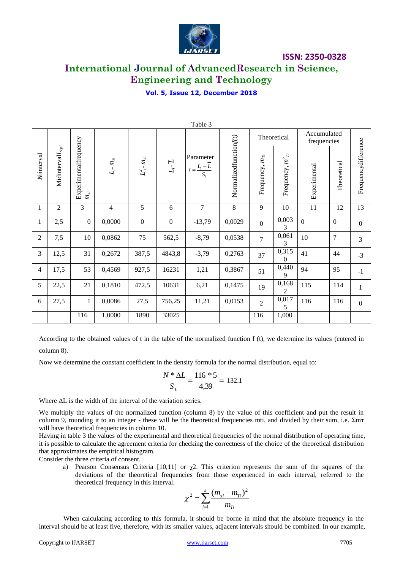

# **International Journal of AdvancedResearch in Science, Engineering and Technology**

#### **Vol. 5, Issue 12, December 2018**

| Table 3        |                       |                                                            |                                             |                                        |                        |                                                   |                        |                     |                      |                            |                |                     |
|----------------|-----------------------|------------------------------------------------------------|---------------------------------------------|----------------------------------------|------------------------|---------------------------------------------------|------------------------|---------------------|----------------------|----------------------------|----------------|---------------------|
|                |                       |                                                            |                                             |                                        |                        |                                                   |                        | Theoretical         |                      | Accumulated<br>frequencies |                |                     |
| Nointerval     | Midinterval $L_{cpi}$ | Experimentalfrequency<br>$m_{\!\scriptscriptstyle\beta i}$ | $L_{i^\ast} m_{\scriptscriptstyle \beta i}$ | $L^2_{\ i^*}m_{\scriptscriptstyle 3i}$ | $L_i$ - $\overline{L}$ | Parameter<br>$t = \frac{L_i - \overline{L}}{S_i}$ | Normalizedfunctionf(t) | Frequency, $m_{Ti}$ | Frequency, $m^2\eta$ | Experimental               | Theoretical    | Frequencydifference |
| $\mathbf{1}$   | $\overline{2}$        | 3                                                          | $\overline{4}$                              | 5                                      | 6                      | $\overline{7}$                                    | 8                      | 9                   | 10                   | 11                         | 12             | 13                  |
| $\mathbf{1}$   | 2,5                   | $\boldsymbol{0}$                                           | 0,0000                                      | $\boldsymbol{0}$                       | $\boldsymbol{0}$       | $-13,79$                                          | 0,0029                 | $\boldsymbol{0}$    | 0,003<br>3           | $\overline{0}$             | $\mathbf{0}$   | $\boldsymbol{0}$    |
| $\overline{2}$ | 7,5                   | 10                                                         | 0,0862                                      | 75                                     | 562,5                  | $-8,79$                                           | 0,0538                 | $\overline{7}$      | 0,061<br>3           | 10                         | $\overline{7}$ | 3                   |
| 3              | 12,5                  | 31                                                         | 0,2672                                      | 387,5                                  | 4843,8                 | $-3,79$                                           | 0,2763                 | 37                  | 0,315<br>$\theta$    | 41                         | 44             | $-3$                |
| $\overline{4}$ | 17,5                  | 53                                                         | 0,4569                                      | 927,5                                  | 16231                  | 1,21                                              | 0,3867                 | 51                  | 0,440<br>9           | 94                         | 95             | $-1$                |
| 5              | 22,5                  | 21                                                         | 0,1810                                      | 472,5                                  | 10631                  | 6,21                                              | 0,1475                 | 19                  | 0,168<br>2           | 115                        | 114            | $\mathbf{1}$        |
| 6              | 27,5                  | $\mathbf{1}$                                               | 0,0086                                      | 27,5                                   | 756,25                 | 11,21                                             | 0,0153                 | $\overline{2}$      | 0,017<br>5           | 116                        | 116            | $\boldsymbol{0}$    |
|                |                       | 116                                                        | 1,0000                                      | 1890                                   | 33025                  |                                                   |                        | 116                 | 1,000                |                            |                |                     |

According to the obtained values of t in the table of the normalized function f (t), we determine its values (entered in column 8).

Now we determine the constant coefficient in the density formula for the normal distribution, equal to:

$$
\frac{N * \Delta L}{S_L} = \frac{116 * 5}{4,39} = 132.1
$$

Where ΔL is the width of the interval of the variation series.

We multiply the values of the normalized function (column 8) by the value of this coefficient and put the result in column 9, rounding it to an integer - these will be the theoretical frequencies mti, and divided by their sum, i.e. Σmт will have theoretical frequencies in column 10.

Having in table 3 the values of the experimental and theoretical frequencies of the normal distribution of operating time, it is possible to calculate the agreement criteria for checking the correctness of the choice of the theoretical distribution that approximates the empirical histogram.

Consider the three criteria of consent.

a) Pearson Consensus Criteria [10,11] or  $\chi$ 2. This criterion represents the sum of the squares of the deviations of the theoretical frequencies from those experienced in each interval, referred to the theoretical frequency in this interval.

$$
\chi^2 = \sum_{i=1}^k \frac{(m_{\rm si} - m_{\rm Ti})^2}{m_{\rm Ti}}
$$

When calculating according to this formula, it should be borne in mind that the absolute frequency in the interval should be at least five, therefore, with its smaller values, adjacent intervals should be combined. In our example,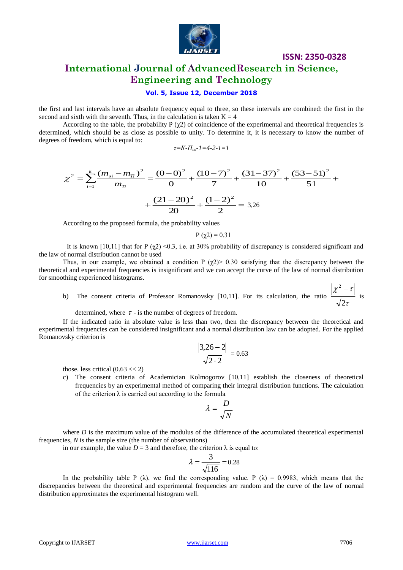

# **International Journal of AdvancedResearch in Science, Engineering and Technology**

#### **Vol. 5, Issue 12, December 2018**

the first and last intervals have an absolute frequency equal to three, so these intervals are combined: the first in the second and sixth with the seventh. Thus, in the calculation is taken  $K = 4$ 

According to the table, the probability P  $(\chi^2)$  of coincidence of the experimental and theoretical frequencies is determined, which should be as close as possible to unity. To determine it, it is necessary to know the number of degrees of freedom, which is equal to:

$$
\tau = K - \prod_{ce} -1 = 4 - 2 - 1 = 1
$$

$$
\chi^{2} = \sum_{i=1}^{k} \frac{(m_{si} - m_{\pi})^{2}}{m_{\pi}} = \frac{(0 - 0)^{2}}{0} + \frac{(10 - 7)^{2}}{7} + \frac{(31 - 37)^{2}}{10} + \frac{(53 - 51)^{2}}{51} + \frac{(21 - 20)^{2}}{20} + \frac{(1 - 2)^{2}}{2} = 3.26
$$

According to the proposed formula, the probability values

$$
P(\chi2) = 0.31
$$

It is known [10,11] that for P  $(\chi^2)$  <0.3, i.e. at 30% probability of discrepancy is considered significant and the law of normal distribution cannot be used

Thus, in our example, we obtained a condition P  $(\gamma 2)$  0.30 satisfying that the discrepancy between the theoretical and experimental frequencies is insignificant and we can accept the curve of the law of normal distribution for smoothing experienced histograms.

b) The consent criteria of Professor Romanovsky [10,11]. For its calculation, the ratio .τ  $\chi^- - \tau$ 2  $2$   $$ is

determined, where  $\tau$  - is the number of degrees of freedom.

If the indicated ratio in absolute value is less than two, then the discrepancy between the theoretical and experimental frequencies can be considered insignificant and a normal distribution law can be adopted. For the applied Romanovsky criterion is

$$
\frac{|3,26-2|}{\sqrt{2\cdot 2}} = 0.63
$$

those. less critical  $(0.63 \lt 2)$ 

c) The consent criteria of Academician Kolmogorov [10,11] establish the closeness of theoretical frequencies by an experimental method of comparing their integral distribution functions. The calculation of the criterion  $\lambda$  is carried out according to the formula

$$
\lambda = \frac{D}{\sqrt{N}}
$$

where *D* is the maximum value of the modulus of the difference of the accumulated theoretical experimental frequencies, *N* is the sample size (the number of observations)

in our example, the value  $D = 3$  and therefore, the criterion  $\lambda$  is equal to:

$$
\lambda = \frac{3}{\sqrt{116}} = 0.28
$$

In the probability table P ( $\lambda$ ), we find the corresponding value. P ( $\lambda$ ) = 0.9983, which means that the discrepancies between the theoretical and experimental frequencies are random and the curve of the law of normal distribution approximates the experimental histogram well.